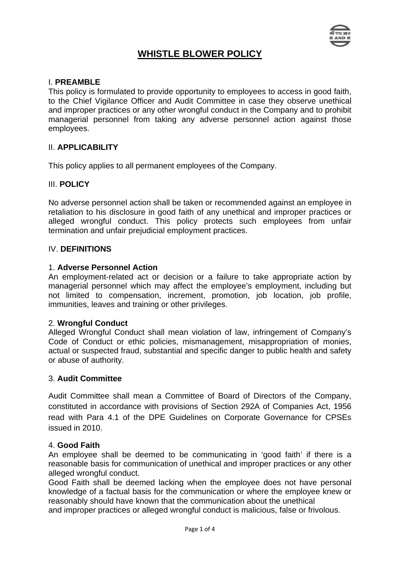

# **WHISTLE BLOWER POLICY**

## I. **PREAMBLE**

This policy is formulated to provide opportunity to employees to access in good faith, to the Chief Vigilance Officer and Audit Committee in case they observe unethical and improper practices or any other wrongful conduct in the Company and to prohibit managerial personnel from taking any adverse personnel action against those employees.

### II. **APPLICABILITY**

This policy applies to all permanent employees of the Company.

### III. **POLICY**

No adverse personnel action shall be taken or recommended against an employee in retaliation to his disclosure in good faith of any unethical and improper practices or alleged wrongful conduct. This policy protects such employees from unfair termination and unfair prejudicial employment practices.

## IV. **DEFINITIONS**

#### 1. **Adverse Personnel Action**

An employment-related act or decision or a failure to take appropriate action by managerial personnel which may affect the employee's employment, including but not limited to compensation, increment, promotion, job location, job profile, immunities, leaves and training or other privileges.

#### 2. **Wrongful Conduct**

Alleged Wrongful Conduct shall mean violation of law, infringement of Company's Code of Conduct or ethic policies, mismanagement, misappropriation of monies, actual or suspected fraud, substantial and specific danger to public health and safety or abuse of authority.

### 3. **Audit Committee**

Audit Committee shall mean a Committee of Board of Directors of the Company, constituted in accordance with provisions of Section 292A of Companies Act, 1956 read with Para 4.1 of the DPE Guidelines on Corporate Governance for CPSEs issued in 2010.

#### 4. **Good Faith**

An employee shall be deemed to be communicating in 'good faith' if there is a reasonable basis for communication of unethical and improper practices or any other alleged wrongful conduct.

Good Faith shall be deemed lacking when the employee does not have personal knowledge of a factual basis for the communication or where the employee knew or reasonably should have known that the communication about the unethical

and improper practices or alleged wrongful conduct is malicious, false or frivolous.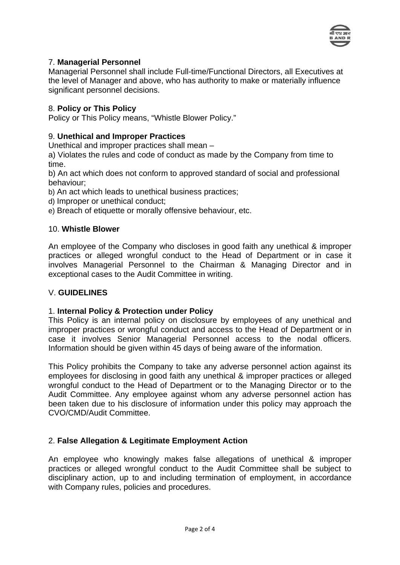

# 7. **Managerial Personnel**

Managerial Personnel shall include Full-time/Functional Directors, all Executives at the level of Manager and above, who has authority to make or materially influence significant personnel decisions.

# 8. **Policy or This Policy**

Policy or This Policy means, "Whistle Blower Policy."

# 9. **Unethical and Improper Practices**

Unethical and improper practices shall mean –

a) Violates the rules and code of conduct as made by the Company from time to time.

b) An act which does not conform to approved standard of social and professional behaviour;

b) An act which leads to unethical business practices;

- d) Improper or unethical conduct;
- e) Breach of etiquette or morally offensive behaviour, etc.

# 10. **Whistle Blower**

An employee of the Company who discloses in good faith any unethical & improper practices or alleged wrongful conduct to the Head of Department or in case it involves Managerial Personnel to the Chairman & Managing Director and in exceptional cases to the Audit Committee in writing.

# V. **GUIDELINES**

# 1. **Internal Policy & Protection under Policy**

This Policy is an internal policy on disclosure by employees of any unethical and improper practices or wrongful conduct and access to the Head of Department or in case it involves Senior Managerial Personnel access to the nodal officers. Information should be given within 45 days of being aware of the information.

This Policy prohibits the Company to take any adverse personnel action against its employees for disclosing in good faith any unethical & improper practices or alleged wrongful conduct to the Head of Department or to the Managing Director or to the Audit Committee. Any employee against whom any adverse personnel action has been taken due to his disclosure of information under this policy may approach the CVO/CMD/Audit Committee.

# 2. **False Allegation & Legitimate Employment Action**

An employee who knowingly makes false allegations of unethical & improper practices or alleged wrongful conduct to the Audit Committee shall be subject to disciplinary action, up to and including termination of employment, in accordance with Company rules, policies and procedures.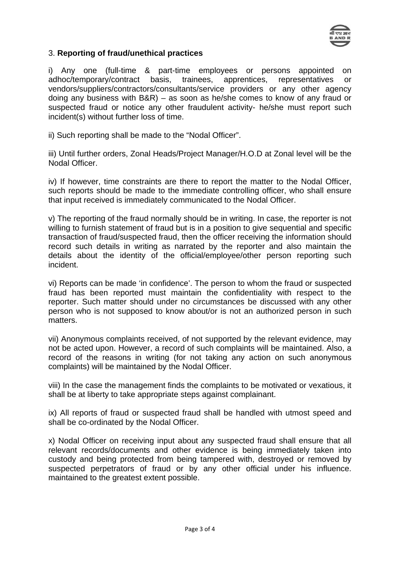

# 3. **Reporting of fraud/unethical practices**

i) Any one (full-time & part-time employees or persons appointed on adhoc/temporary/contract basis, trainees, apprentices, representatives or vendors/suppliers/contractors/consultants/service providers or any other agency doing any business with B&R) – as soon as he/she comes to know of any fraud or suspected fraud or notice any other fraudulent activity- he/she must report such incident(s) without further loss of time.

ii) Such reporting shall be made to the "Nodal Officer".

iii) Until further orders, Zonal Heads/Project Manager/H.O.D at Zonal level will be the Nodal Officer.

iv) If however, time constraints are there to report the matter to the Nodal Officer, such reports should be made to the immediate controlling officer, who shall ensure that input received is immediately communicated to the Nodal Officer.

v) The reporting of the fraud normally should be in writing. In case, the reporter is not willing to furnish statement of fraud but is in a position to give sequential and specific transaction of fraud/suspected fraud, then the officer receiving the information should record such details in writing as narrated by the reporter and also maintain the details about the identity of the official/employee/other person reporting such incident.

vi) Reports can be made 'in confidence'. The person to whom the fraud or suspected fraud has been reported must maintain the confidentiality with respect to the reporter. Such matter should under no circumstances be discussed with any other person who is not supposed to know about/or is not an authorized person in such matters.

vii) Anonymous complaints received, of not supported by the relevant evidence, may not be acted upon. However, a record of such complaints will be maintained. Also, a record of the reasons in writing (for not taking any action on such anonymous complaints) will be maintained by the Nodal Officer.

viii) In the case the management finds the complaints to be motivated or vexatious, it shall be at liberty to take appropriate steps against complainant.

ix) All reports of fraud or suspected fraud shall be handled with utmost speed and shall be co-ordinated by the Nodal Officer.

x) Nodal Officer on receiving input about any suspected fraud shall ensure that all relevant records/documents and other evidence is being immediately taken into custody and being protected from being tampered with, destroyed or removed by suspected perpetrators of fraud or by any other official under his influence. maintained to the greatest extent possible.